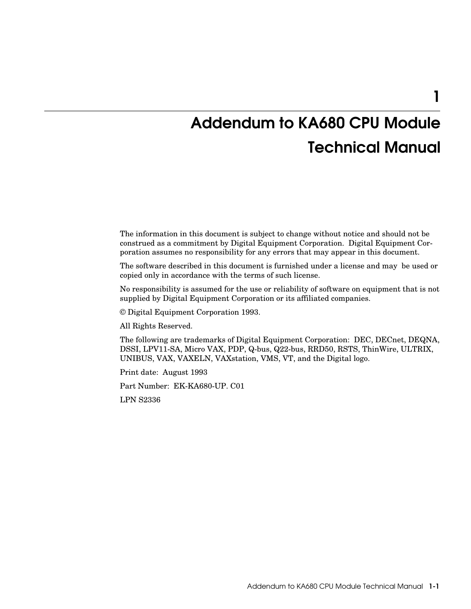# 1

# Addendum to KA680 CPU Module Technical Manual

The information in this document is subject to change without notice and should not be construed as a commitment by Digital Equipment Corporation. Digital Equipment Corporation assumes no responsibility for any errors that may appear in this document.

The software described in this document is furnished under a license and may be used or copied only in accordance with the terms of such license.

No responsibility is assumed for the use or reliability of software on equipment that is not supplied by Digital Equipment Corporation or its affiliated companies.

© Digital Equipment Corporation 1993.

All Rights Reserved.

The following are trademarks of Digital Equipment Corporation: DEC, DECnet, DEQNA, DSSI, LPV11-SA, Micro VAX, PDP, Q-bus, Q22-bus, RRD50, RSTS, ThinWire, ULTRIX, UNIBUS, VAX, VAXELN, VAXstation, VMS, VT, and the Digital logo.

Print date: August 1993

Part Number: EK-KA680-UP. C01

LPN S2336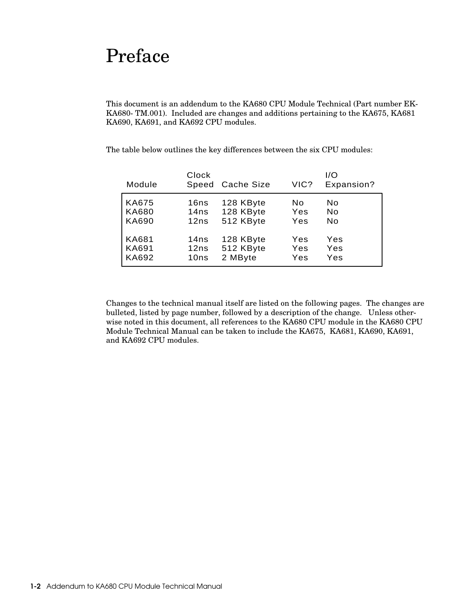# Preface

This document is an addendum to the KA680 CPU Module Technical (Part number EK-KA680-TM.001). Included are changes and additions pertaining to the KA675, KA681 KA690, KA691, and KA692 CPU modules.

| Module       | Clock | Speed Cache Size | VIC? | I/O<br>Expansion? |
|--------------|-------|------------------|------|-------------------|
| <b>KA675</b> | 16ns  | 128 KByte        | No   | No                |
| <b>KA680</b> | 14ns  | 128 KByte        | Yes  | No                |
| <b>KA690</b> | 12ns  | 512 KByte        | Yes  | No                |
| <b>KA681</b> | 14ns  | 128 KByte        | Yes  | Yes               |
| <b>KA691</b> | 12ns  | 512 KByte        | Yes  | Yes               |
| <b>KA692</b> | 10ns  | 2 MByte          | Yes  | Yes               |

The table below outlines the key differences between the six CPU modules:

Changes to the technical manual itself are listed on the following pages. The changes are bulleted, listed by page number, followed by a description of the change. Unless otherwise noted in this document, all references to the KA680 CPU module in the KA680 CPU Module Technical Manual can be taken to include the KA675, KA681, KA690, KA691, and KA692 CPU modules.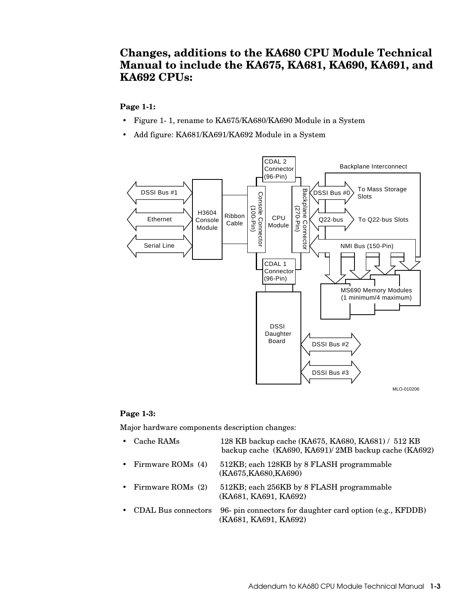# **Changes, additions to the KA680 CPU Module Technical Manual to include the KA675, KA681, KA690, KA691, and KA692 CPUs:**

#### **Page 1-1:**

- Figure 1-1, rename to KA675/KA680/KA690 Module in a System
- Add figure: KA681/KA691/KA692 Module in a System



#### **Page 1-3:**

Major hardware components description changes:

| 512KB; each 128KB by 8 FLASH programmable<br>• Firmware ROMs $(4)$<br>(KA675, KA680, KA690)<br>512KB; each 256KB by 8 FLASH programmable<br>• Firmware ROMs $(2)$<br>(KA681, KA691, KA692)<br>• CDAL Bus connectors<br>(KA681, KA691, KA692) | • Cache RAMs | 128 KB backup cache (KA675, KA680, KA681) / 512 KB<br>backup cache (KA690, KA691)/2MB backup cache (KA692) |
|----------------------------------------------------------------------------------------------------------------------------------------------------------------------------------------------------------------------------------------------|--------------|------------------------------------------------------------------------------------------------------------|
|                                                                                                                                                                                                                                              |              |                                                                                                            |
|                                                                                                                                                                                                                                              |              |                                                                                                            |
|                                                                                                                                                                                                                                              |              | 96- pin connectors for daughter card option (e.g., KFDDB)                                                  |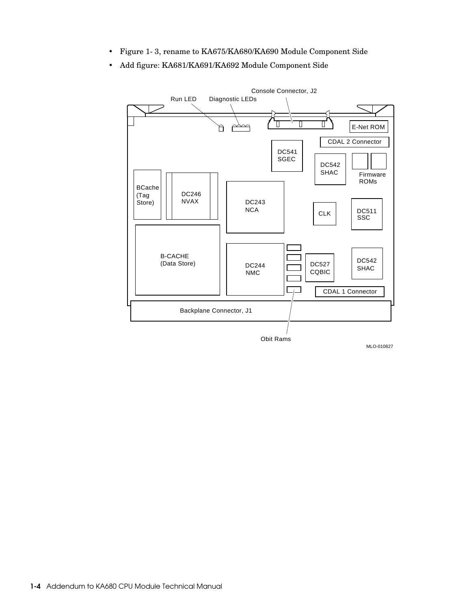- Figure 1-3, rename to KA675/KA680/KA690 Module Component Side
- Add figure: KA681/KA691/KA692 Module Component Side

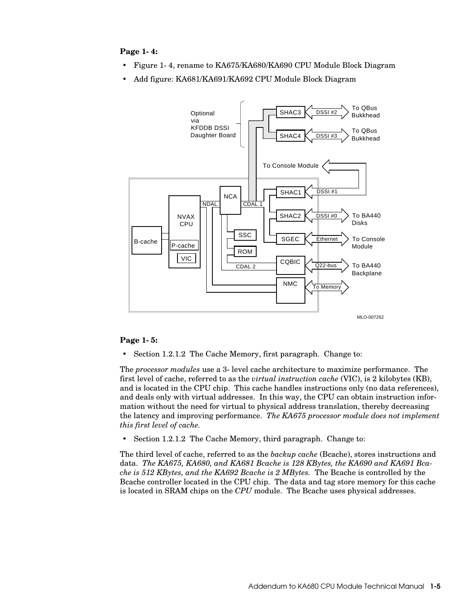#### **Page 1-4:**

- Figure 1-4, rename to KA675/KA680/KA690 CPU Module Block Diagram
- Add figure: KA681/KA691/KA692 CPU Module Block Diagram



#### **Page 1-5:**

• Section 1.2.1.2 The Cache Memory, first paragraph. Change to:

The *processor modules* use a 3-level cache architecture to maximize performance. The first level of cache, referred to as the *virtual instruction cache* (VIC), is 2 kilobytes (KB), and is located in the CPU chip. This cache handles instructions only (no data references), and deals only with virtual addresses. In this way, the CPU can obtain instruction information without the need for virtual to physical address translation, thereby decreasing the latency and improving performance. *The KA675 processor module does not implement this first level of cache.*

• Section 1.2.1.2 The Cache Memory, third paragraph. Change to:

The third level of cache, referred to as the *backup cache* (Bcache), stores instructions and data. *The KA675, KA680, and KA681 Bcache is 128 KBytes, the KA690 and KA691 Bcache is 512 KBytes, and the KA692 Bcache is 2 MBytes.* The Bcache is controlled by the Bcache controller located in the CPU chip. The data and tag store memory for this cache is located in SRAM chips on the *CPU* module. The Bcache uses physical addresses.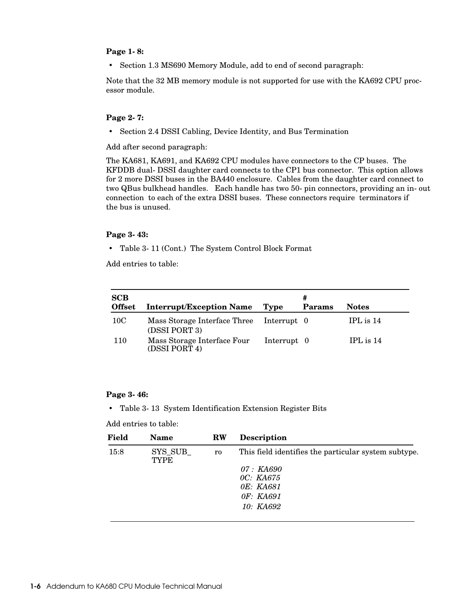#### **Page 1-8:**

• Section 1.3 MS690 Memory Module, add to end of second paragraph:

Note that the 32 MB memory module is not supported for use with the KA692 CPU processor module.

#### **Page 2-7:**

• Section 2.4 DSSI Cabling, Device Identity, and Bus Termination

Add after second paragraph:

The KA681, KA691, and KA692 CPU modules have connectors to the CP buses. The KFDDB dual-DSSI daughter card connects to the CP1 bus connector. This option allows for 2 more DSSI buses in the BA440 enclosure. Cables from the daughter card connect to two QBus bulkhead handles. Each handle has two 50-pin connectors, providing an in-out connection to each of the extra DSSI buses. These connectors require terminators if the bus is unused.

#### **Page 3-43:**

• Table 3-11 (Cont.) The System Control Block Format

Add entries to table:

| <b>SCB</b><br><b>Offset</b> | <b>Interrupt/Exception Name</b>               | Type        | #<br>Params | <b>Notes</b> |
|-----------------------------|-----------------------------------------------|-------------|-------------|--------------|
| 10 <sub>C</sub>             | Mass Storage Interface Three<br>(DSSI PORT 3) | Interrupt 0 |             | IPL is $14$  |
| 110                         | Mass Storage Interface Four<br>(DSSI PORT 4)  | Interrupt 0 |             | IPL is $14$  |

#### **Page 3-46:**

• Table 3-13 System Identification Extension Register Bits

Add entries to table:

| Field | <b>Name</b>            | <b>RW</b> | <b>Description</b>                                   |
|-------|------------------------|-----------|------------------------------------------------------|
| 15:8  | SYS SUB<br><b>TYPE</b> | ro        | This field identifies the particular system subtype. |
|       |                        |           | 07 : KA690                                           |
|       |                        |           | OC: KA675                                            |
|       |                        |           | OE: KA681                                            |
|       |                        |           | OF: KA691                                            |
|       |                        |           | 10: KA692                                            |
|       |                        |           |                                                      |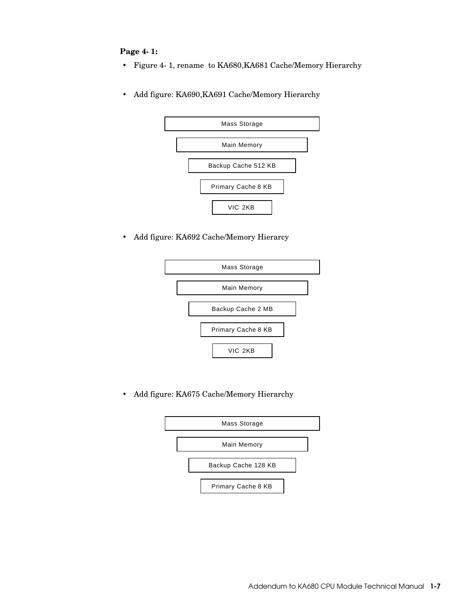## **Page 4-1:**

- Figure 4-1, rename to KA680,KA681 Cache/Memory Hierarchy
- Add figure: KA690,KA691 Cache/Memory Hierarchy



• Add figure: KA692 Cache/Memory Hierarcy



• Add figure: KA675 Cache/Memory Hierarchy

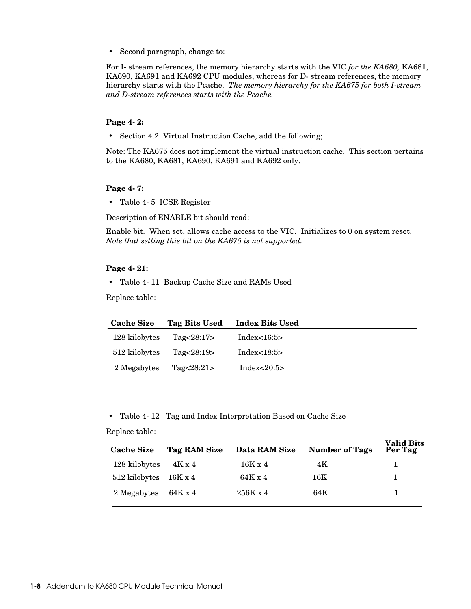• Second paragraph, change to:

For I-stream references, the memory hierarchy starts with the VIC *for the KA680,* KA681, KA690, KA691 and KA692 CPU modules, whereas for D-stream references, the memory hierarchy starts with the Pcache. *The memory hierarchy for the KA675 for both I-stream and D-stream references starts with the Pcache.*

#### **Page 4-2:**

• Section 4.2 Virtual Instruction Cache, add the following;

Note: The KA675 does not implement the virtual instruction cache. This section pertains to the KA680, KA681, KA690, KA691 and KA692 only.

#### **Page 4-7:**

• Table 4-5 ICSR Register

Description of ENABLE bit should read:

Enable bit. When set, allows cache access to the VIC. Initializes to 0 on system reset. *Note that setting this bit on the KA675 is not supported.* 

#### **Page 4-21:**

• Table 4-11 Backup Cache Size and RAMs Used

Replace table:

| <b>Cache Size</b> | Tag Bits Used | <b>Index Bits Used</b> |  |
|-------------------|---------------|------------------------|--|
| 128 kilobytes     | Tag $<28:17>$ | Index<16:5>            |  |
| 512 kilobytes     | Tag $<28:19>$ | Index<18:5>            |  |
| 2 Megabytes       | Tag $<28:21>$ | Index $<20:5>$         |  |

• Table 4-12 Tag and Index Interpretation Based on Cache Size

#### Replace table:

| <b>Cache Size</b>              | Tag RAM Size | Data RAM Size   | <b>Number of Tags</b> | valiu dits<br>Per Tag |
|--------------------------------|--------------|-----------------|-----------------------|-----------------------|
| 128 kilobytes                  | 4K x 4       | $16K \times 4$  | 4K                    |                       |
| $512$ kilobytes $16K \times 4$ |              | 64K x 4         | 16K                   |                       |
| 2 Megabytes                    | 64K x 4      | $256K \times 4$ | 64K                   |                       |

**Valid Bits**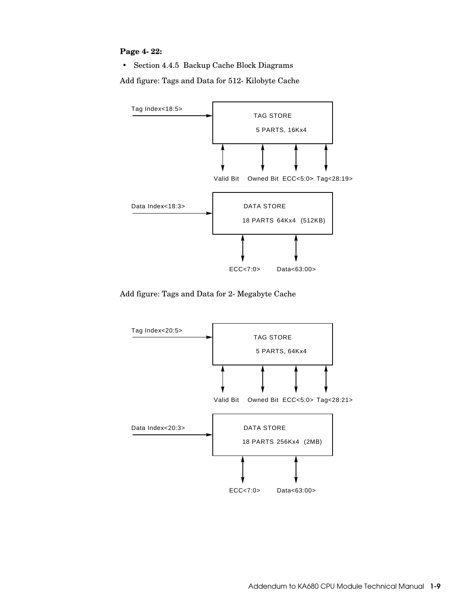### **Page 4-22:**

• Section 4.4.5 Backup Cache Block Diagrams

Add figure: Tags and Data for 512-Kilobyte Cache



Add figure: Tags and Data for 2- Megabyte Cache

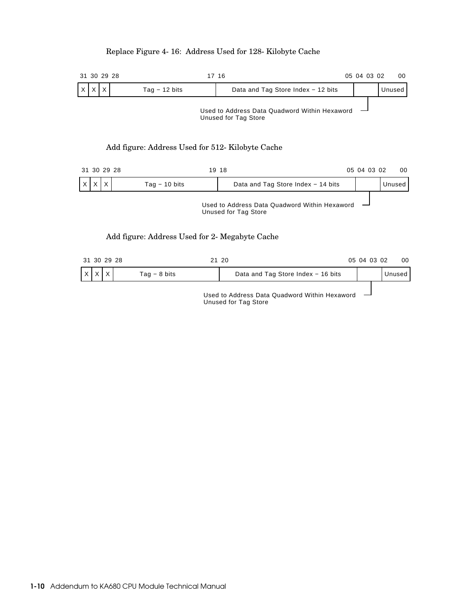# Replace Figure 4-16: Address Used for 128-Kilobyte Cache

# 31 30 29 28 17 16 05 04 03 02 00 X X X Tag − 12 bits Charand Tag Store Index − 12 bits Unused Used to Address Data Quadword Within Hexaword Unused for Tag Store Add figure: Address Used for 512-Kilobyte Cache 31 30 29 28 19 18 05 04 03 02 00 X X X Tag − 10 bits Data and Tag Store Index − 14 bits Unused Used to Address Data Quadword Within Hexaword  $\sim$ Unused for Tag Store Add figure: Address Used for 2-Megabyte Cache

|                     | 31 30 29 28 |              | 21 20                                                         | 05 04 03 02 |  | 00     |
|---------------------|-------------|--------------|---------------------------------------------------------------|-------------|--|--------|
| $\mathsf{I} \times$ |             | Tag – 8 bits | Data and Tag Store Index - 16 bits                            |             |  | Unused |
|                     |             |              | The college Andelsee College Concentration of MPH Section and |             |  |        |

Used to Address Data Quadword Within Hexaword Unused for Tag Store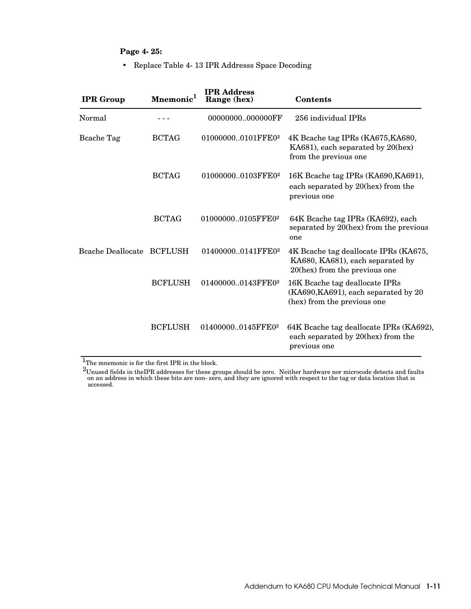# **Page 4-25:**

• Replace Table 4-13 IPR Addresss Space Decoding

| <b>IPR</b> Group          | <b>Mnemonic</b> | <b>IPR Address</b><br>Range (hex) | <b>Contents</b>                                                                                            |
|---------------------------|-----------------|-----------------------------------|------------------------------------------------------------------------------------------------------------|
| Normal                    |                 | 00000000000000FF                  | 256 individual IPRs                                                                                        |
| Bcache Tag                | <b>BCTAG</b>    | 010000000101FFE02                 | 4K Bcache tag IPRs (KA675, KA680,<br>KA681), each separated by 20(hex)<br>from the previous one            |
|                           | <b>BCTAG</b>    | 010000000103FFE02                 | 16K Bcache tag IPRs (KA690, KA691),<br>each separated by 20(hex) from the<br>previous one                  |
|                           | <b>BCTAG</b>    | 010000000105FFE02                 | 64K Bcache tag IPRs (KA692), each<br>separated by 20(hex) from the previous<br>one                         |
| Beache Deallocate BCFLUSH |                 | 014000000141FFE02                 | 4K Beache tag deallocate IPRs (KA675,<br>KA680, KA681), each separated by<br>20(hex) from the previous one |
|                           | <b>BCFLUSH</b>  | 014000000143FFE02                 | 16K Bcache tag deallocate IPRs<br>(KA690, KA691), each separated by 20<br>(hex) from the previous one      |
|                           | <b>BCFLUSH</b>  | 014000000145FFE0 <sup>2</sup>     | 64K Bcache tag deallocate IPRs (KA692),<br>each separated by 20(hex) from the<br>previous one              |

 $\overline{\text{1}}$  The mnemonic is for the first IPR in the block.

 $^2$ Unused fields in theIPR addresses for these groups should be zero. Neither hardware nor microcode detects and faults on an address in which these bits are non-zero, and they are ignored with respect to the tag or data location that is accessed.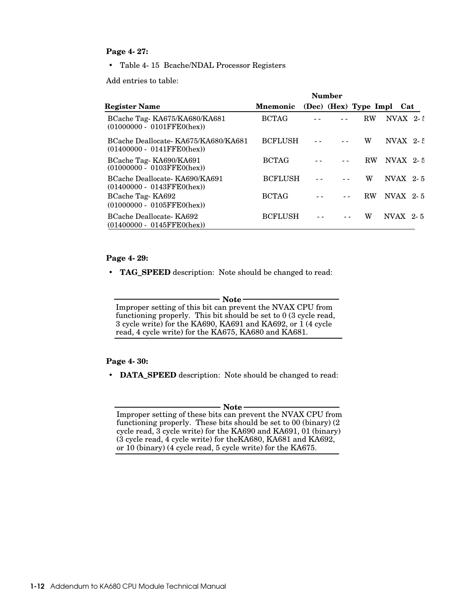#### **Page 4-27:**

• Table 4-15 Bcache/NDAL Processor Registers

Add entries to table:

|                                                                          |                 | Number |                           |                   |
|--------------------------------------------------------------------------|-----------------|--------|---------------------------|-------------------|
| <b>Register Name</b>                                                     | <b>Mnemonic</b> |        | (Dec) (Hex) Type Impl Cat |                   |
| BCache Tag-KA675/KA680/KA681<br>$(01000000 - 0101$ FFE0(hex))            | <b>BCTAG</b>    |        | <b>RW</b>                 | $NVAX$ 2 $\pm$    |
| BCache Deallocate KA675/KA680/KA681<br>$(01400000 - 0141$ FFE $0$ (hex)) | <b>BCFLUSH</b>  |        | W                         | NVAX $2 \tcdot 5$ |
| BCache Tag-KA690/KA691<br>$(01000000 - 0103$ FFEO(hex))                  | <b>BCTAG</b>    |        | <b>RW</b>                 | NVAX $2.5$        |
| BCache Deallocate KA690/KA691<br>$(01400000 - 0143$ FFE0(hex))           | <b>BCFLUSH</b>  |        | W                         | NVAX $2-5$        |
| BCache Tag-KA692<br>$(01000000 - 0105$ FFE0(hex))                        | <b>BCTAG</b>    |        | <b>RW</b>                 | NVAX $2-5$        |
| BCache Deallocate KA692<br>$(01400000 - 0145$ FFE0(hex))                 | <b>BCFLUSH</b>  |        | w                         | NVAX 2-5          |

#### **Page 4-29:**

• **TAG\_SPEED** description: Note should be changed to read:

- Note<sup>-</sup>

Improper setting of this bit can prevent the NVAX CPU from functioning properly. This bit should be set to 0 (3 cycle read, 3 cycle write) for the KA690, KA691 and KA692, or 1 (4 cycle read, 4 cycle write) for the KA675, KA680 and KA681.

#### **Page 4-30:**

• **DATA\_SPEED** description: Note should be changed to read:

- Note<sup>-</sup>

Improper setting of these bits can prevent the NVAX CPU from functioning properly. These bits should be set to 00 (binary) (2 cycle read, 3 cycle write) for the KA690 and KA691, 01 (binary) (3 cycle read, 4 cycle write) for theKA680, KA681 and KA692, or 10 (binary) (4 cycle read, 5 cycle write) for the KA675.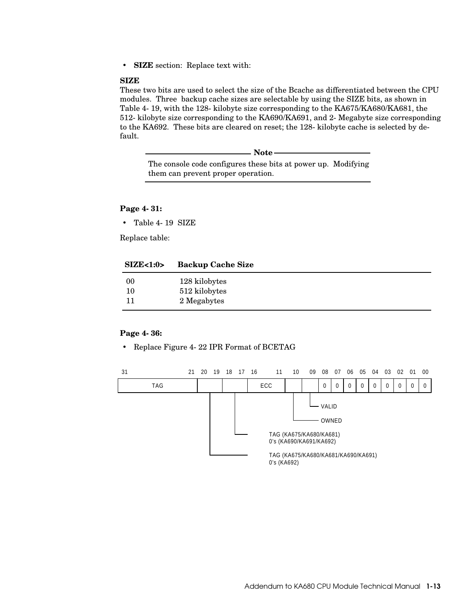• **SIZE** section: Replace text with:

#### **SIZE**

These two bits are used to select the size of the Bcache as differentiated between the CPU modules. Three backup cache sizes are selectable by using the SIZE bits, as shown in Table 4-19, with the 128-kilobyte size corresponding to the KA675/KA680/KA681, the 512-kilobyte size corresponding to the KA690/KA691, and 2-Megabyte size corresponding to the KA692. These bits are cleared on reset; the 128-kilobyte cache is selected by default.

The console code configures these bits at power up. Modifying them can prevent proper operation.

- Note -

#### **Page 4-31:**

• Table 4-19 SIZE

Replace table:

| $\text{SIZE} < 1:0$ | <b>Backup Cache Size</b> |  |
|---------------------|--------------------------|--|
| 00                  | 128 kilobytes            |  |
| 10                  | 512 kilobytes            |  |
|                     | 2 Megabytes              |  |
|                     |                          |  |

#### **Page 4-36:**

• Replace Figure 4-22 IPR Format of BCETAG

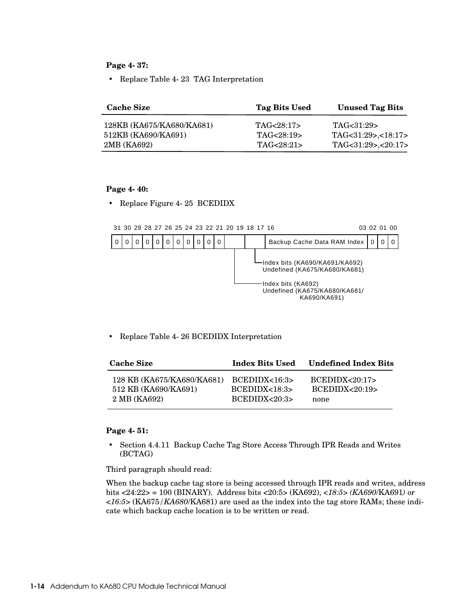**Page 4-37:**

• Replace Table 4-23 TAG Interpretation

| <b>Cache Size</b>         | Tag Bits Used | <b>Unused Tag Bits</b> |
|---------------------------|---------------|------------------------|
| 128KB (KA675/KA680/KA681) | TAG<28:17>    | TAG<31:29>             |
| 512KB (KA690/KA691)       | TAG<28:19>    | TAG<31:29>,<18:17>     |
| 2MB (KA692)               | TAG<28:21>    | TAG<31:29>,<20:17>     |

#### **Page 4-40:**

• Replace Figure 4-25 BCEDIDX



• Replace Table 4-26 BCEDIDX Interpretation

| 128 KB (KA675/KA680/KA681) BCEDIDX<16:3><br>BCEDIDX<20:17<br>512 KB (KA690/KA691)<br>BCEDIDX<20:19<br>$B$ CEDIDX $<$ 18:3><br>2 MB (KA692)<br>BCEDIDX<20:3><br>none | <b>Cache Size</b> | <b>Index Bits Used</b> | <b>Undefined Index Bits</b> |
|---------------------------------------------------------------------------------------------------------------------------------------------------------------------|-------------------|------------------------|-----------------------------|
|                                                                                                                                                                     |                   |                        |                             |

#### **Page 4-51:**

• Section 4.4.11 Backup Cache Tag Store Access Through IPR Reads and Writes (BCTAG)

Third paragraph should read:

When the backup cache tag store is being accessed through IPR reads and writes, address bits <24:22> = 100 (BINARY). Address bits <20:5> (KA692), *<18:5> (KA690*/KA691*)* or *<16:5>* (KA675*/KA680*/KA681) are used as the index into the tag store RAMs; these indicate which backup cache location is to be written or read.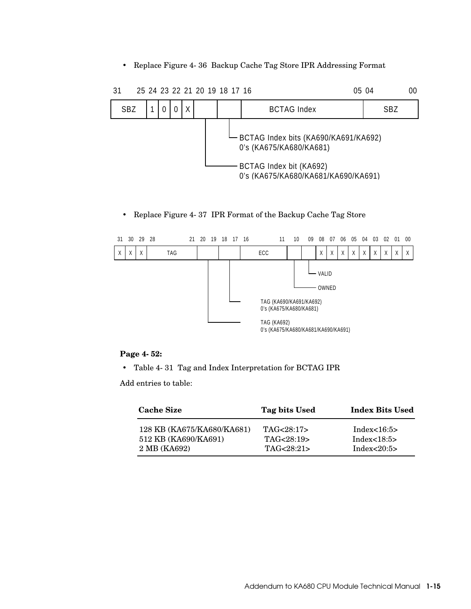• Replace Figure 4-36 Backup Cache Tag Store IPR Addressing Format



• Replace Figure 4-37 IPR Format of the Backup Cache Tag Store



#### **Page 4-52:**

• Table 4-31 Tag and Index Interpretation for BCTAG IPR

Add entries to table:

| <b>Cache Size</b>          | Tag bits Used | <b>Index Bits Used</b> |
|----------------------------|---------------|------------------------|
| 128 KB (KA675/KA680/KA681) | TAG < 28:17   | Index $<16:5>$         |
| 512 KB (KA690/KA691)       | TAG<28:19>    | Index $<18:5>$         |
| 2 MB (KA692)               | TAG < 28:21   | Index $<20:5>$         |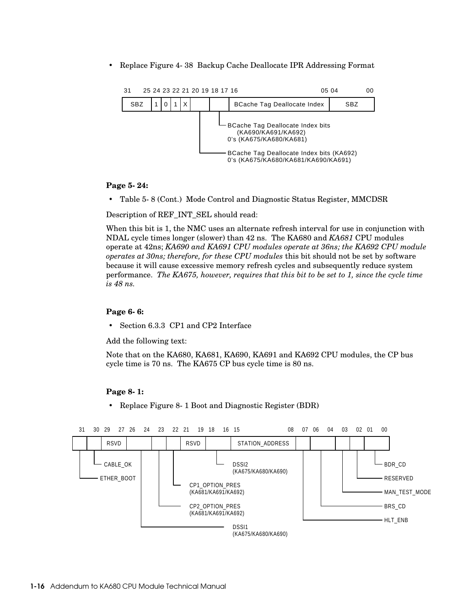• Replace Figure 4-38 Backup Cache Deallocate IPR Addressing Format



#### **Page 5-24:**

• Table 5-8 (Cont.) Mode Control and Diagnostic Status Register, MMCDSR

Description of REF\_INT\_SEL should read:

When this bit is 1, the NMC uses an alternate refresh interval for use in conjunction with NDAL cycle times longer (slower) than 42 ns. The KA680 and *KA681* CPU modules operate at 42ns; *KA690 and KA691 CPU modules operate at 36ns; the KA692 CPU module operates at 30ns; therefore, for these CPU modules* this bit should not be set by software because it will cause excessive memory refresh cycles and subsequently reduce system performance. *The KA675, however, requires that this bit to be set to 1, since the cycle time is 48 ns.*

#### **Page 6-6:**

• Section 6.3.3 CP1 and CP2 Interface

Add the following text:

Note that on the KA680, KA681, KA690, KA691 and KA692 CPU modules, the CP bus cycle time is 70 ns. The KA675 CP bus cycle time is 80 ns.

#### **Page 8-1:**

• Replace Figure 8-1 Boot and Diagnostic Register (BDR)

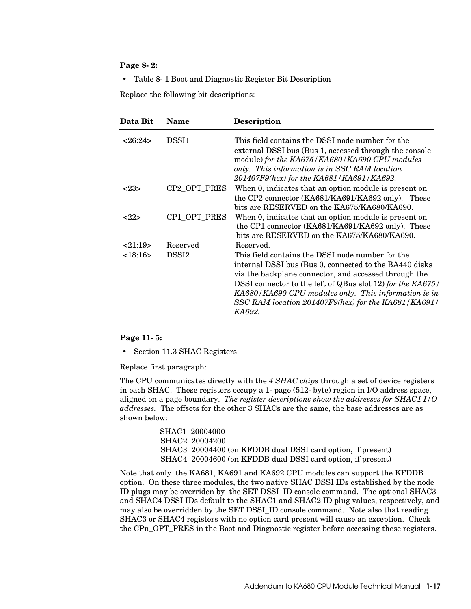#### **Page 8-2:**

• Table 8-1 Boot and Diagnostic Register Bit Description

Replace the following bit descriptions:

| Data Bit | Name              | <b>Description</b>                                                                                                                                                                                                                                                                                                                                          |
|----------|-------------------|-------------------------------------------------------------------------------------------------------------------------------------------------------------------------------------------------------------------------------------------------------------------------------------------------------------------------------------------------------------|
| <26:24>  | DSSI1             | This field contains the DSSI node number for the<br>external DSSI bus (Bus 1, accessed through the console<br>module) for the KA675/KA680/KA690 CPU modules<br>only. This information is in SSC RAM location<br>201407F9(hex) for the KA681/KA691/KA692.                                                                                                    |
| <23>     | CP2_OPT_PRES      | When 0, indicates that an option module is present on<br>the CP2 connector (KA681/KA691/KA692 only). These<br>bits are RESERVED on the KA675/KA680/KA690.                                                                                                                                                                                                   |
| 222      | CP1_OPT_PRES      | When 0, indicates that an option module is present on<br>the CP1 connector (KA681/KA691/KA692 only). These<br>bits are RESERVED on the KA675/KA680/KA690.                                                                                                                                                                                                   |
| 21:19    | Reserved          | Reserved.                                                                                                                                                                                                                                                                                                                                                   |
| <18:16>  | DSSI <sub>2</sub> | This field contains the DSSI node number for the<br>internal DSSI bus (Bus 0, connected to the BA440 disks)<br>via the backplane connector, and accessed through the<br>DSSI connector to the left of QBus slot 12) for the KA675/<br>KA680/KA690 CPU modules only. This information is in<br>SSC RAM location 201407F9(hex) for the KA681/KA691/<br>KA692. |

#### **Page 11-5:**

• Section 11.3 SHAC Registers

Replace first paragraph:

The CPU communicates directly with the *4 SHAC chips* through a set of device registers in each SHAC. These registers occupy a 1-page (512-byte) region in I/O address space, aligned on a page boundary. *The register descriptions show the addresses for SHAC1 I/O addresses.* The offsets for the other 3 SHACs are the same, the base addresses are as shown below:

> SHAC1 20004000 SHAC2 20004200 SHAC3 20004400 (on KFDDB dual DSSI card option, if present) SHAC4 20004600 (on KFDDB dual DSSI card option, if present)

Note that only the KA681, KA691 and KA692 CPU modules can support the KFDDB option. On these three modules, the two native SHAC DSSI IDs established by the node ID plugs may be overriden by the SET DSSI\_ID console command. The optional SHAC3 and SHAC4 DSSI IDs default to the SHAC1 and SHAC2 ID plug values, respectively, and may also be overridden by the SET DSSI\_ID console command. Note also that reading SHAC3 or SHAC4 registers with no option card present will cause an exception. Check the CPn\_OPT\_PRES in the Boot and Diagnostic register before accessing these registers.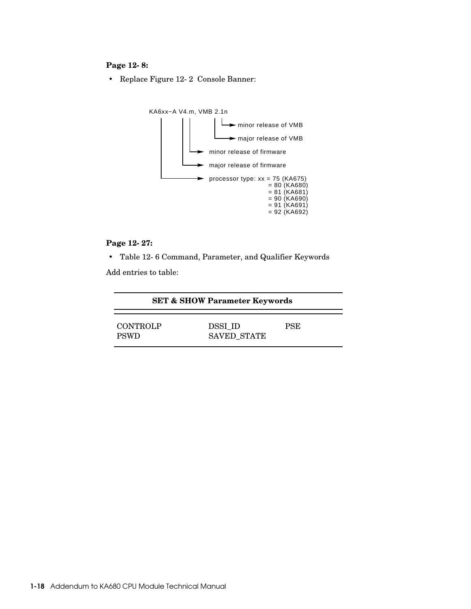# **Page 12-8:**

• Replace Figure 12-2 Console Banner:



## **Page 12-27:**

• Table 12-6 Command, Parameter, and Qualifier Keywords

Add entries to table:

| <b>SET &amp; SHOW Parameter Keywords</b> |                        |            |
|------------------------------------------|------------------------|------------|
| <b>CONTROLP</b><br><b>PSWD</b>           | DSSI ID<br>SAVED STATE | <b>PSE</b> |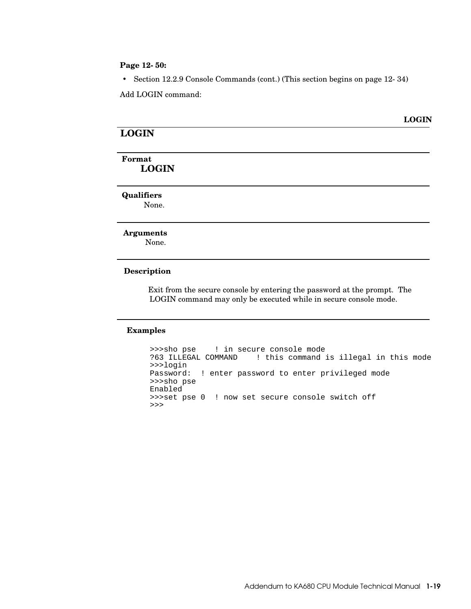#### **Page 12-50:**

• Section 12.2.9 Console Commands (cont.) (This section begins on page 12-34)

Add LOGIN command:

#### **LOGIN**

# **LOGIN**

# **Format LOGIN**

**Qualifiers**

None.

#### **Arguments**

None.

#### **Description**

Exit from the secure console by entering the password at the prompt. The LOGIN command may only be executed while in secure console mode.

#### **Examples**

```
 >>>sho pse ! in secure console mode
?63 ILLEGAL COMMAND ! this command is illegal in this mode
>>>login
Password: ! enter password to enter privileged mode
>>>sho pse
Enabled
>>>set pse 0 ! now set secure console switch off
>>>
```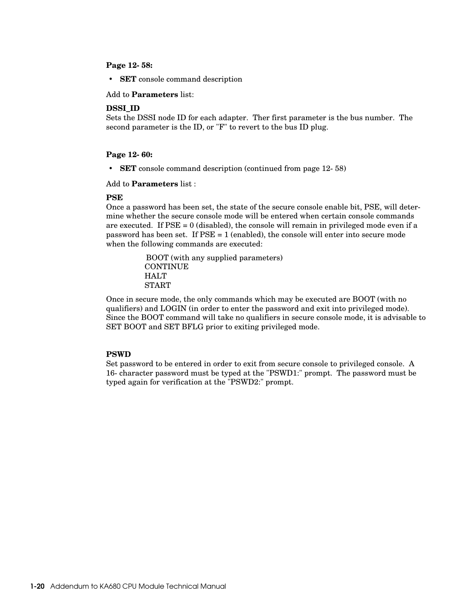#### **Page 12-58:**

• **SET** console command description

Add to **Parameters** list:

#### **DSSI\_ID**

Sets the DSSI node ID for each adapter. Ther first parameter is the bus number. The second parameter is the ID, or "F" to revert to the bus ID plug.

#### **Page 12-60:**

• **SET** console command description (continued from page 12-58)

Add to **Parameters** list :

#### **PSE**

Once a password has been set, the state of the secure console enable bit, PSE, will determine whether the secure console mode will be entered when certain console commands are executed. If  $PSE = 0$  (disabled), the console will remain in privileged mode even if a password has been set. If PSE = 1 (enabled), the console will enter into secure mode when the following commands are executed:

> BOOT (with any supplied parameters) **CONTINUE HALT START**

Once in secure mode, the only commands which may be executed are BOOT (with no qualifiers) and LOGIN (in order to enter the password and exit into privileged mode). Since the BOOT command will take no qualifiers in secure console mode, it is advisable to SET BOOT and SET BFLG prior to exiting privileged mode.

#### **PSWD**

Set password to be entered in order to exit from secure console to privileged console. A 16-character password must be typed at the "PSWD1:" prompt. The password must be typed again for verification at the "PSWD2:" prompt.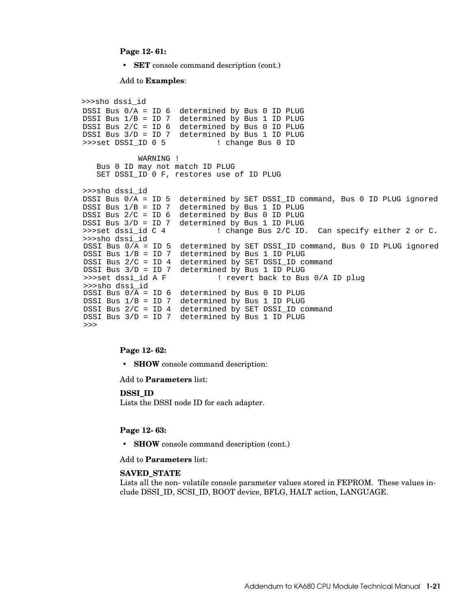#### **Page 12-61:**

• **SET** console command description (cont.)

#### Add to **Examples**:

>>>sho dssi\_id DSSI Bus 0/A = ID 6 determined by Bus 0 ID PLUG DSSI Bus 1/B = ID 7 determined by Bus 1 ID PLUG DSSI Bus 2/C = ID 6 determined by Bus 0 ID PLUG DSSI Bus 3/D = ID 7 determined by Bus 1 ID PLUG >>>set DSSI\_ID 0 5 WARNING ! Bus 0 ID may not match ID PLUG SET DSSI\_ID 0 F, restores use of ID PLUG >>>sho dssi\_id DSSI Bus 0/A = ID 5 determined by SET DSSI\_ID command, Bus 0 ID PLUG ignored DSSI Bus 1/B = ID 7 determined by Bus 1 ID PLUG DSSI Bus 2/C = ID 6 determined by Bus 0 ID PLUG DSSI Bus 3/D = ID 7 determined by Bus 1 ID PLUG >>>set dssi\_id C 4 ! change Bus 2/C ID. Can specify either 2 or C. >>>sho dssi\_id DSSI Bus  $0/\overline{A}$  = ID 5 determined by SET DSSI ID command, Bus 0 ID PLUG ignored DSSI Bus 1/B = ID 7 determined by Bus 1 ID PLUG DSSI Bus 2/C = ID 4 determined by SET DSSI\_ID command DSSI Bus  $3/D = ID 7$  determined by Bus 1 ID PLUG<br>>>>set dssi id A F 1 revert back to Bus ! revert back to Bus 0/A ID plug >>>sho dssi\_id DSSI Bus  $0/\overline{A}$  = ID 6 determined by Bus 0 ID PLUG DSSI Bus 1/B = ID 7 determined by Bus 1 ID PLUG DSSI Bus 2/C = ID 4 determined by SET DSSI\_ID command DSSI Bus 3/D = ID 7 determined by Bus 1 ID PLUG >>>

#### **Page 12-62:**

• **SHOW** console command description:

Add to **Parameters** list:

**DSSI\_ID** 

Lists the DSSI node ID for each adapter.

#### **Page 12-63:**

• **SHOW** console command description (cont.)

Add to **Parameters** list:

#### **SAVED\_STATE**

Lists all the non-volatile console parameter values stored in FEPROM. These values include DSSI\_ID, SCSI\_ID, BOOT device, BFLG, HALT action, LANGUAGE.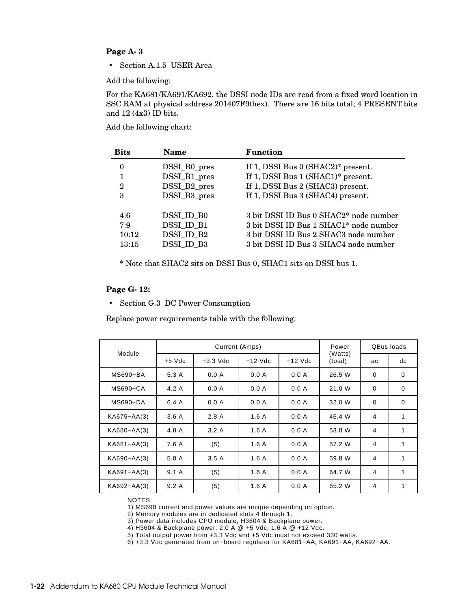### **Page A-3**

• Section A.1.5 USER Area

Add the following:

For the KA681/KA691/KA692, the DSSI node IDs are read from a fixed word location in SSC RAM at physical address 201407F9(hex). There are 16 bits total; 4 PRESENT bits and 12 (4x3) ID bits.

Add the following chart:

| <b>Bits</b> | <b>Name</b>  | <b>Function</b>                        |
|-------------|--------------|----------------------------------------|
| 0           | DSSI_B0_pres | If 1, DSSI Bus $0$ (SHAC2)* present.   |
| 1           | DSSI_B1_pres | If 1, DSSI Bus 1 (SHAC1)* present.     |
| 2           | DSSI_B2_pres | If 1, DSSI Bus 2 (SHAC3) present.      |
| 3           | DSSI_B3_pres | If 1, DSSI Bus 3 (SHAC4) present.      |
|             |              |                                        |
| 4:6         | DSSI ID B0   | 3 bit DSSI ID Bus 0 SHAC2* node number |
| 7:9         | DSSI ID B1   | 3 bit DSSI ID Bus 1 SHAC1* node number |
| 10:12       | DSSI ID B2   | 3 bit DSSI ID Bus 2 SHAC3 node number  |
| 13:15       | DSSI ID B3   | 3 bit DSSI ID Bus 3 SHAC4 node number  |

\* Note that SHAC2 sits on DSSI Bus 0, SHAC1 sits on DSSI bus 1.

#### **Page G-12:**

• Section G.3 DC Power Consumption

Replace power requirements table with the following:

|                 |          | Current (Amps) | Power     | QBus loads |                    |          |             |
|-----------------|----------|----------------|-----------|------------|--------------------|----------|-------------|
| Module          | $+5$ Vdc | $+3.3$ Vdc     | $+12$ Vdc | $-12$ Vdc  | (Watts)<br>(total) | ac       | dc          |
| MS690-BA        | 5.3 A    | 0.0 A          | 0.0 A     | 0.0 A      | 26.5 W             | $\Omega$ | $\mathbf 0$ |
| MS690-CA        | 4.2A     | 0.0 A          | 0.0 A     | 0.0 A      | 21.0 W             | 0        | $\mathbf 0$ |
| MS690-DA        | 6.4 A    | 0.0 A          | 0.0 A     | 0.0 A      | 32.0 W             | $\Omega$ | $\Omega$    |
| KA675-AA(3)     | 3.6A     | 2.8A           | 1.6A      | 0.0 A      | 46.4 W             | 4        | 1           |
| KA680-AA(3)     | 4.8 A    | 3.2A           | 1.6A      | 0.0 A      | 53.8 W             | 4        | 1           |
| $KAG81 - AA(3)$ | 7.6 A    | (5)            | 1.6A      | 0.0 A      | 57.2 W             | 4        | 1           |
| KA690-AA(3)     | 5.8 A    | 3.5A           | 1.6A      | 0.0 A      | 59.8 W             | 4        | 1           |
| $KAG91 - AA(3)$ | 9.1A     | (5)            | 1.6A      | 0.0 A      | 64.7 W             | 4        | 1           |
| KA692-AA(3)     | 9.2A     | (5)            | 1.6A      | 0.0 A      | 65.2 W             | 4        | 1           |

NOTES:

1) MS690 current and power values are unique depending on option.

2) Memory modules are in dedicated slots 4 through 1.

3) Power data includes CPU module, H3604 & Backplane power.

4) H3604 & Backplane power: 2.0 A @ +5 Vdc, 1.6 A @ +12 Vdc.

5) Total output power from +3.3 Vdc and +5 Vdc must not exceed 330 watts.

6) +3.3 Vdc generated from on−board regulator for KA681−AA, KA691−AA, KA692−AA.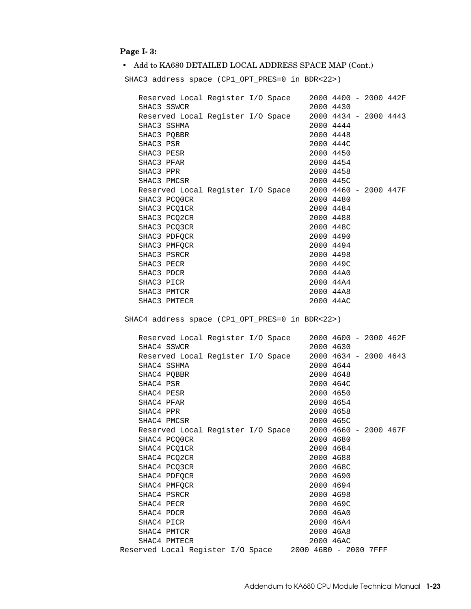# **Page I-3:**

# • Add to KA680 DETAILED LOCAL ADDRESS SPACE MAP (Cont.)

SHAC3 address space (CP1\_OPT\_PRES=0 in BDR<22>)

|                         |                              | Reserved Local Register I/O Space |  |                       | 2000 4400 - 2000 442F              |  |  |
|-------------------------|------------------------------|-----------------------------------|--|-----------------------|------------------------------------|--|--|
|                         | SHAC3 SSWCR                  |                                   |  |                       | 2000 4430                          |  |  |
|                         |                              | Reserved Local Register I/O Space |  |                       | 2000 4434 - 2000 4443              |  |  |
|                         | SHAC3 SSHMA                  |                                   |  |                       | 2000 4444                          |  |  |
|                         | SHAC3 PQBBR                  |                                   |  |                       | 2000 4448                          |  |  |
| SHAC3 PSR               |                              |                                   |  |                       | 2000 444C                          |  |  |
| SHAC3 PESR              |                              |                                   |  |                       | 2000 4450                          |  |  |
| SHAC3 PFAR              |                              |                                   |  |                       | 2000 4454                          |  |  |
| SHAC3 PPR               |                              |                                   |  |                       | 2000 4458                          |  |  |
|                         | SHAC3 PMCSR                  |                                   |  |                       | 2000 445C                          |  |  |
|                         |                              | Reserved Local Register I/O Space |  |                       | 2000 4460 - 2000 447F              |  |  |
|                         | SHAC3 PCQ0CR                 |                                   |  |                       | 2000 4480                          |  |  |
|                         | SHAC3 PCQ1CR                 |                                   |  |                       | 2000 4484                          |  |  |
|                         | SHAC3 PCQ2CR                 |                                   |  |                       | 2000 4488                          |  |  |
|                         | SHAC3 PCQ3CR                 |                                   |  |                       | 2000 448C                          |  |  |
|                         | SHAC3 PDFQCR                 |                                   |  |                       | 2000 4490                          |  |  |
|                         | SHAC3 PMFQCR                 |                                   |  |                       | 2000 4494                          |  |  |
|                         | SHAC3 PSRCR                  |                                   |  |                       | 2000 4498                          |  |  |
| SHAC3 PECR              |                              |                                   |  |                       | 2000 449C                          |  |  |
| SHAC3 PDCR              |                              |                                   |  |                       | 2000 44A0                          |  |  |
| SHAC3 PICR              |                              |                                   |  |                       | 2000 44A4                          |  |  |
|                         | SHAC3 PMTCR                  |                                   |  |                       | 2000 44A8                          |  |  |
|                         | SHAC3 PMTECR                 |                                   |  |                       | 2000 44AC                          |  |  |
|                         | SHAC4 SSWCR                  | Reserved Local Register I/O Space |  |                       | 2000 4600 - 2000 462F<br>2000 4630 |  |  |
|                         |                              |                                   |  |                       |                                    |  |  |
|                         | SHAC4 SSHMA                  | Reserved Local Register I/O Space |  |                       | 2000 4634 - 2000 4643<br>2000 4644 |  |  |
|                         |                              |                                   |  |                       |                                    |  |  |
|                         | SHAC4 PQBBR                  |                                   |  |                       | 2000 4648                          |  |  |
| SHAC4 PSR               |                              |                                   |  |                       | 2000 464C                          |  |  |
| SHAC4 PESR              |                              |                                   |  |                       | 2000 4650                          |  |  |
| SHAC4 PFAR<br>SHAC4 PPR |                              |                                   |  |                       | 2000 4654                          |  |  |
|                         | SHAC4 PMCSR                  |                                   |  |                       | 2000 4658<br>2000 465C             |  |  |
|                         |                              | Reserved Local Register I/O Space |  |                       | 2000 4660 - 2000 467F              |  |  |
|                         |                              |                                   |  |                       | 2000 4680                          |  |  |
|                         | SHAC4 PCQOCR                 |                                   |  |                       | 2000 4684                          |  |  |
|                         | SHAC4 PCQ1CR<br>SHAC4 PCQ2CR |                                   |  |                       | 2000 4688                          |  |  |
|                         |                              |                                   |  |                       |                                    |  |  |
|                         | SHAC4 PCQ3CR                 |                                   |  |                       | 2000 468C                          |  |  |
|                         | SHAC4 PDFQCR<br>SHAC4 PMFOCR |                                   |  |                       | 2000 4690                          |  |  |
|                         | SHAC4 PSRCR                  |                                   |  |                       | 2000 4694                          |  |  |
|                         |                              |                                   |  |                       | 2000 4698                          |  |  |
| SHAC4 PECR              |                              |                                   |  |                       | 2000 469C                          |  |  |
| SHAC4 PDCR              |                              |                                   |  |                       | 2000 46A0                          |  |  |
| SHAC4 PICR              |                              |                                   |  |                       | 2000 46A4                          |  |  |
|                         | SHAC4 PMTCR<br>SHAC4 PMTECR  |                                   |  |                       | 2000 46A8                          |  |  |
|                         |                              | Reserved Local Register I/O Space |  | 2000 46B0 - 2000 7FFF | 2000 46AC                          |  |  |
|                         |                              |                                   |  |                       |                                    |  |  |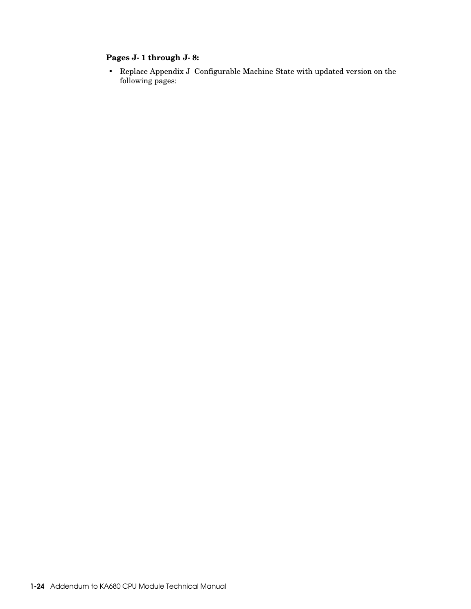# **Pages J-1 through J-8:**

• Replace Appendix J Configurable Machine State with updated version on the following pages: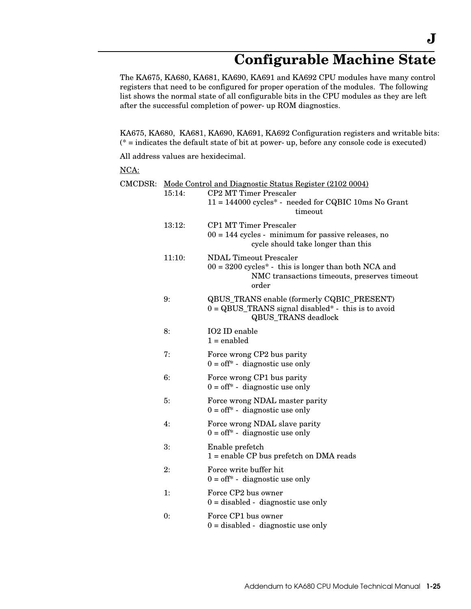# **Configurable Machine State**

The KA675, KA680, KA681, KA690, KA691 and KA692 CPU modules have many control registers that need to be configured for proper operation of the modules. The following list shows the normal state of all configurable bits in the CPU modules as they are left after the successful completion of power-up ROM diagnostics.

KA675, KA680, KA681, KA690, KA691, KA692 Configuration registers and writable bits: (\* = indicates the default state of bit at power-up, before any console code is executed)

All address values are hexidecimal.

# NCA:

|        | CMCDSR: Mode Control and Diagnostic Status Register (2102 0004)                                                                                  |
|--------|--------------------------------------------------------------------------------------------------------------------------------------------------|
| 15:14: | <b>CP2 MT Timer Prescaler</b><br>11 = 144000 cycles* - needed for CQBIC 10ms No Grant<br>timeout                                                 |
| 13:12: | <b>CP1 MT Timer Prescaler</b><br>$00 = 144$ cycles - minimum for passive releases, no<br>cycle should take longer than this                      |
| 11:10: | <b>NDAL Timeout Prescaler</b><br>$00 = 3200$ cycles* - this is longer than both NCA and<br>NMC transactions timeouts, preserves timeout<br>order |
| 9:     | QBUS_TRANS enable (formerly CQBIC_PRESENT)<br>$0 = QBUS_TRANS$ signal disabled* - this is to avoid<br><b>QBUS_TRANS</b> deadlock                 |
| 8:     | IO2 ID enable<br>$1 =$ enabled                                                                                                                   |
| 7:     | Force wrong CP2 bus parity<br>$0 = off^*$ - diagnostic use only                                                                                  |
| 6:     | Force wrong CP1 bus parity<br>$0 = off^*$ - diagnostic use only                                                                                  |
| 5:     | Force wrong NDAL master parity<br>$0 = off^*$ - diagnostic use only                                                                              |
| 4:     | Force wrong NDAL slave parity<br>$0 = off^*$ - diagnostic use only                                                                               |
| 3:     | Enable prefetch<br>$1 =$ enable CP bus prefetch on DMA reads                                                                                     |
| 2:     | Force write buffer hit<br>$0 = \text{off}^*$ - diagnostic use only                                                                               |
| 1:     | Force CP2 bus owner<br>$0 =$ disabled - diagnostic use only                                                                                      |
| 0:     | Force CP1 bus owner<br>$0 =$ disabled - diagnostic use only                                                                                      |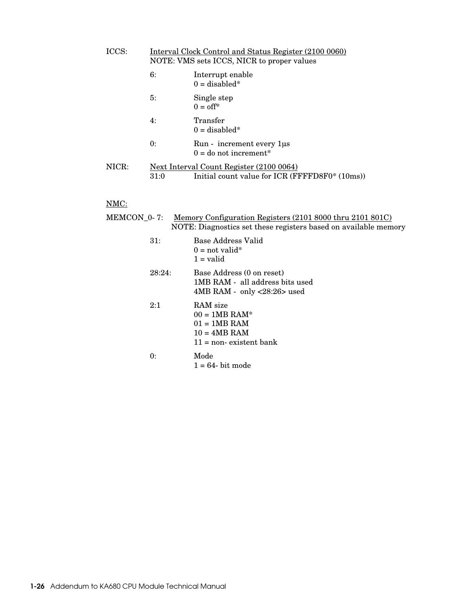| ICCS: | Interval Clock Control and Status Register (2100 0060)<br>NOTE: VMS sets ICCS, NICR to proper values |                                                                                            |  |
|-------|------------------------------------------------------------------------------------------------------|--------------------------------------------------------------------------------------------|--|
|       | 6:                                                                                                   | Interrupt enable<br>$0 =$ disabled*                                                        |  |
|       | 5:                                                                                                   | Single step<br>$0 = \text{off*}$                                                           |  |
|       | 4:                                                                                                   | Transfer<br>$0 =$ disabled*                                                                |  |
|       | 0:                                                                                                   | Run - increment every 1 us<br>$0 =$ do not increment*                                      |  |
| NICR: | 31:0                                                                                                 | Next Interval Count Register (2100 0064)<br>Initial count value for ICR (FFFFD8F0* (10ms)) |  |

# NMC:

| MEMCON_0- 7: | Memory Configuration Registers (2101 8000 thru 2101 801C)<br>NOTE: Diagnostics set these registers based on available memory |
|--------------|------------------------------------------------------------------------------------------------------------------------------|
| 31:          | Base Address Valid<br>$0 = \text{not valid}^*$<br>$1 =$ valid                                                                |
| 28:24:       | Base Address (0 on reset)<br>1MB RAM - all address bits used<br>$4MB RAM - only < 28:26$ used                                |
| 2:1          | RAM size<br>$00 = 1MB$ RAM*<br>$01 = 1MB$ RAM<br>$10 = 4MB$ RAM<br>$11 =$ non- existent bank                                 |
| 0:           | Mode<br>$1 = 64$ - bit mode                                                                                                  |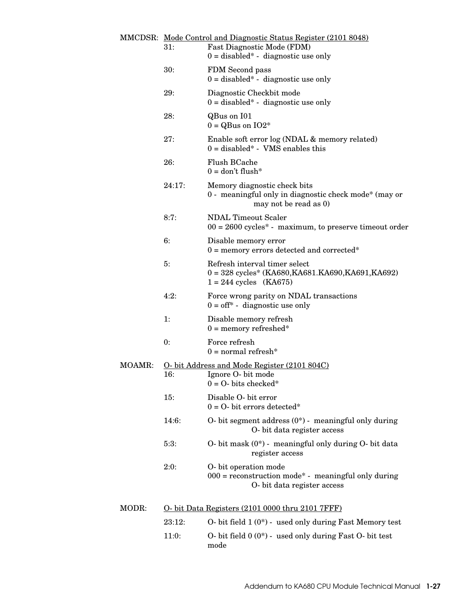|        | 31:    | MMCDSR: Mode Control and Diagnostic Status Register (2101 8048)<br>Fast Diagnostic Mode (FDM)                  |
|--------|--------|----------------------------------------------------------------------------------------------------------------|
|        |        | $0 =$ disabled* - diagnostic use only                                                                          |
|        | 30:    | FDM Second pass<br>$0 =$ disabled* - diagnostic use only                                                       |
|        | 29:    | Diagnostic Checkbit mode<br>$0 =$ disabled* - diagnostic use only                                              |
|        | 28:    | QBus on I01<br>$0 = QB$ us on $IO2*$                                                                           |
|        | 27:    | Enable soft error log (NDAL & memory related)<br>$0 =$ disabled* - VMS enables this                            |
|        | 26:    | Flush BCache<br>$0 =$ don't flush*                                                                             |
|        | 24:17: | Memory diagnostic check bits<br>0 - meaningful only in diagnostic check mode* (may or<br>may not be read as 0) |
|        | 8:7:   | <b>NDAL Timeout Scaler</b><br>$00 = 2600$ cycles <sup>*</sup> - maximum, to preserve timeout order             |
|        | 6:     | Disable memory error<br>$0 =$ memory errors detected and corrected*                                            |
|        | 5:     | Refresh interval timer select<br>$0 = 328$ cycles* (KA680,KA681.KA690,KA691,KA692)<br>$1 = 244$ cycles (KA675) |
|        | 4:2:   | Force wrong parity on NDAL transactions<br>$0 = \text{off}^*$ - diagnostic use only                            |
|        | 1:     | Disable memory refresh<br>$0 =$ memory refreshed*                                                              |
|        | 0:     | Force refresh<br>$0 = normal$ refresh*                                                                         |
| MOAMR: |        | O- bit Address and Mode Register (2101 804C)                                                                   |
|        | 16:    | Ignore O- bit mode<br>$0 = O$ - bits checked*                                                                  |
|        | 15:    | Disable O- bit error<br>$0 = O$ - bit errors detected*                                                         |
|        | 14:6:  | O- bit segment address $(0^*)$ - meaningful only during<br>O- bit data register access                         |
|        | 5:3:   | O- bit mask (0*) - meaningful only during O- bit data<br>register access                                       |
|        | 2:0:   | O-bit operation mode<br>$000$ = reconstruction mode* - meaningful only during<br>O- bit data register access   |
| MODR:  |        | O- bit Data Registers (2101 0000 thru 2101 7FFF)                                                               |
|        | 23:12: | O- bit field $1(0^*)$ - used only during Fast Memory test                                                      |
|        | 11:0:  | O- bit field $0(0^*)$ - used only during Fast O- bit test<br>mode                                              |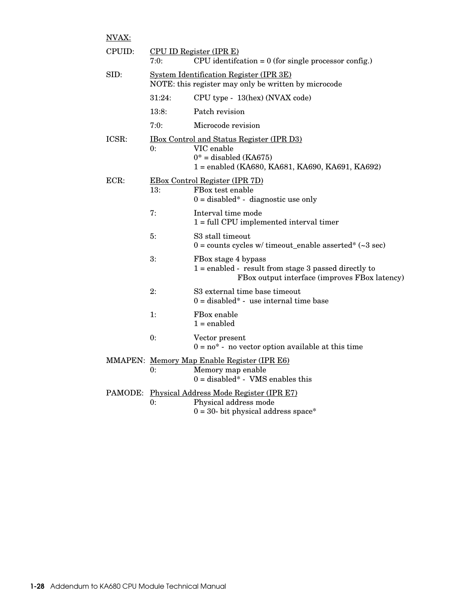| NVAX:   |        |                                                                                                                                               |
|---------|--------|-----------------------------------------------------------------------------------------------------------------------------------------------|
| CPUID:  | 7:0:   | CPU ID Register (IPR E)<br>CPU identification = $0$ (for single processor config.)                                                            |
| SID:    |        | System Identification Register (IPR 3E)<br>NOTE: this register may only be written by microcode                                               |
|         | 31:24: | CPU type - 13(hex) (NVAX code)                                                                                                                |
|         | 13:8:  | Patch revision                                                                                                                                |
|         | 7:0:   | Microcode revision                                                                                                                            |
| ICSR:   | 0:     | <u>IBox Control and Status Register (IPR D3)</u><br>VIC enable<br>$0^*$ = disabled (KA675)<br>1 = enabled (KA680, KA681, KA690, KA691, KA692) |
| ECR     | 13:    | <b>EBox Control Register (IPR 7D)</b><br>FBox test enable<br>$0 =$ disabled* - diagnostic use only                                            |
|         | 7:     | Interval time mode<br>$1 = full CPU implemented interval timer$                                                                               |
|         | 5:     | S <sub>3</sub> stall timeout<br>$0 = \text{counts cycles}$ w/ timeout_enable asserted* (~3 sec)                                               |
|         | 3:     | FBox stage 4 bypass<br>$1 =$ enabled - result from stage 3 passed directly to<br>FBox output interface (improves FBox latency)                |
|         | 2:     | S3 external time base timeout<br>$0 =$ disabled* - use internal time base                                                                     |
|         | 1:     | FBox enable<br>$1 =$ enabled                                                                                                                  |
|         | 0:     | Vector present<br>$0 = no^*$ - no vector option available at this time                                                                        |
|         | 0:     | MMAPEN: Memory Map Enable Register (IPR E6)<br>Memory map enable<br>$0 =$ disabled* - VMS enables this                                        |
| PAMODE: | 0:     | Physical Address Mode Register (IPR E7)<br>Physical address mode                                                                              |

 $0$  = 30- bit physical address space\*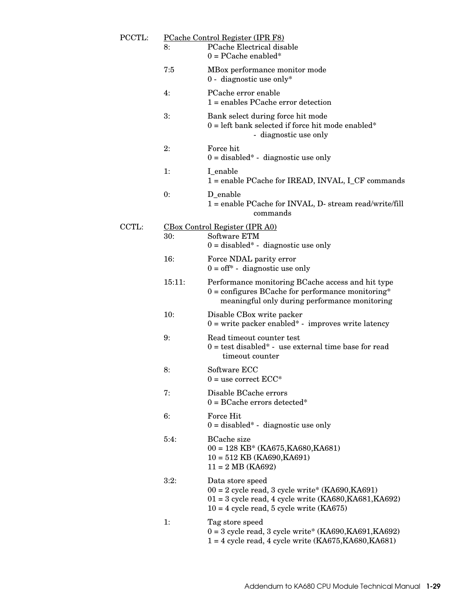| PCCTL: | 8:     | PCache Control Register (IPR F8)<br>PCache Electrical disable<br>$0 = PCache$ enabled*                                                                                          |
|--------|--------|---------------------------------------------------------------------------------------------------------------------------------------------------------------------------------|
|        | 7:5    | MBox performance monitor mode<br>0 - diagnostic use only*                                                                                                                       |
|        | 4:     | PCache error enable<br>$1 =$ enables PCache error detection                                                                                                                     |
|        | 3:     | Bank select during force hit mode<br>$0 = left$ bank selected if force hit mode enabled*<br>- diagnostic use only                                                               |
|        | 2:     | Force hit<br>$0 =$ disabled* - diagnostic use only                                                                                                                              |
|        | 1:     | I_enable<br>1 = enable PCache for IREAD, INVAL, I_CF commands                                                                                                                   |
|        | 0:     | D_enable<br>1 = enable PCache for INVAL, D- stream read/write/fill<br>commands                                                                                                  |
| CCTL:  |        | CBox Control Register (IPR A0)                                                                                                                                                  |
|        | 30:    | Software ETM<br>$0 =$ disabled* - diagnostic use only                                                                                                                           |
|        | 16:    | Force NDAL parity error<br>$0 = off^*$ - diagnostic use only                                                                                                                    |
|        | 15:11: | Performance monitoring BCache access and hit type<br>$0 =$ configures BCache for performance monitoring*<br>meaningful only during performance monitoring                       |
|        | 10:    | Disable CBox write packer<br>$0 =$ write packer enabled* - improves write latency                                                                                               |
|        | 9:     | Read timeout counter test<br>$0 = \text{test}$ disabled* - use external time base for read<br>timeout counter                                                                   |
|        | 8:     | Software ECC<br>$0 =$ use correct $\mathrm{ECC}^*$                                                                                                                              |
|        | 7:     | Disable BCache errors<br>$0 = BCache$ errors detected*                                                                                                                          |
|        | 6:     | Force Hit<br>$0 =$ disabled* - diagnostic use only                                                                                                                              |
|        | 5:4:   | <b>BCache</b> size<br>$00 = 128 \text{ KB}^* (\text{KA675}, \text{KA680}, \text{KA681})$<br>$10 = 512$ KB (KA690, KA691)<br>$11 = 2 \text{ MB (KA692)}$                         |
|        | 3:2:   | Data store speed<br>$00 = 2$ cycle read, 3 cycle write* (KA690,KA691)<br>$01 = 3$ cycle read, 4 cycle write (KA680, KA681, KA692)<br>$10 = 4$ cycle read, 5 cycle write (KA675) |
|        | 1:     | Tag store speed<br>$0 = 3$ cycle read, 3 cycle write* (KA690, KA691, KA692)<br>$1 = 4$ cycle read, 4 cycle write $(KA675, KA680, KA681)$                                        |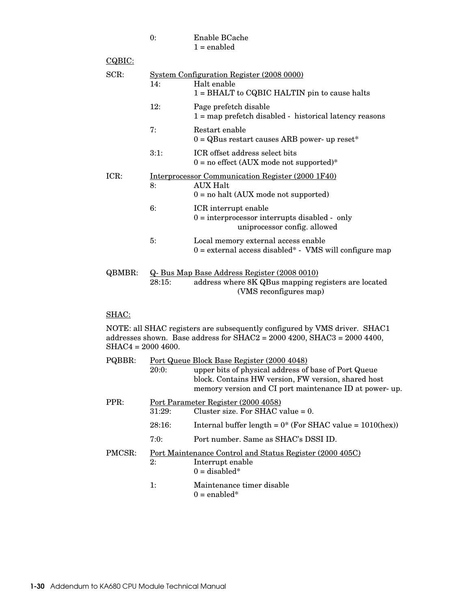| $\mathbf{0}$ | Enable BCache |
|--------------|---------------|
|              | $1 =$ enabled |

| CQBIC: |        |                                                                                                                               |
|--------|--------|-------------------------------------------------------------------------------------------------------------------------------|
| SCR:   | 14:    | System Configuration Register (2008 0000)<br>Halt enable<br>1 = BHALT to CQBIC HALTIN pin to cause halts                      |
|        | 12:    | Page prefetch disable<br>$1 = map$ prefetch disabled - historical latency reasons                                             |
|        | 7:     | Restart enable<br>$0 = QB$ us restart causes ARB power- up reset <sup>*</sup>                                                 |
|        | 3:1:   | ICR offset address select bits<br>$0 =$ no effect (AUX mode not supported)*                                                   |
| ICR:   | 8:     | Interprocessor Communication Register (2000 1F40)<br>AUX Halt<br>$0 =$ no halt (AUX mode not supported)                       |
|        | 6:     | ICR interrupt enable<br>$0 =$ interprocessor interrupts disabled - only<br>uniprocessor config. allowed                       |
|        | 5:     | Local memory external access enable<br>$0 =$ external access disabled* - VMS will configure map                               |
| QBMBR: | 28:15: | Q- Bus Map Base Address Register (2008 0010)<br>address where 8K QBus mapping registers are located<br>(VMS reconfigures map) |

# SHAC:

NOTE: all SHAC registers are subsequently configured by VMS driver. SHAC1 addresses shown. Base address for SHAC2 = 2000 4200, SHAC3 = 2000 4400, SHAC4 = 2000 4600.

| PQBBR: | 20:0:  | Port Queue Block Base Register (2000 4048)<br>upper bits of physical address of base of Port Queue<br>block. Contains HW version, FW version, shared host<br>memory version and CI port maintenance ID at power-up. |
|--------|--------|---------------------------------------------------------------------------------------------------------------------------------------------------------------------------------------------------------------------|
| PPR:   | 31:29: | Port Parameter Register (2000 4058)<br>Cluster size. For SHAC value $= 0$ .                                                                                                                                         |
|        | 28:16: | Internal buffer length = $0^*$ (For SHAC value = $1010$ (hex))                                                                                                                                                      |
|        | 7:0:   | Port number. Same as SHAC's DSSI ID.                                                                                                                                                                                |
| PMCSR: | 2:     | Port Maintenance Control and Status Register (2000 405C)<br>Interrupt enable<br>$0 =$ disabled*                                                                                                                     |
|        | 1:     | Maintenance timer disable<br>$0 =$ enabled*                                                                                                                                                                         |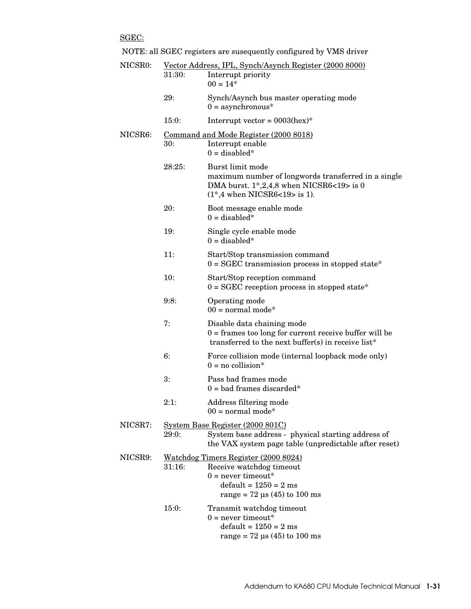SGEC:

|         | NOTE: all SGEC registers are susequently configured by VMS driver |  |
|---------|-------------------------------------------------------------------|--|
| NICSRO. | Voctor Address IDI Synch/Asynch Register (2000 8000)              |  |

| NICSR0: | 31:30:                                  | Vector Address, IPL, Synch/Asynch Register (2000 8000)<br>Interrupt priority<br>$00 = 14*$                                                                                              |
|---------|-----------------------------------------|-----------------------------------------------------------------------------------------------------------------------------------------------------------------------------------------|
|         | 29:                                     | Synch/Asynch bus master operating mode<br>$0 =$ asynchronous*                                                                                                                           |
|         | 15:0:                                   | Interrupt vector = $0003$ (hex)*                                                                                                                                                        |
| NICSR6: | 30:                                     | <u>Command and Mode Register (2000 8018)</u><br>Interrupt enable<br>$0 =$ disabled*                                                                                                     |
|         | 28:25:                                  | Burst limit mode<br>maximum number of longwords transferred in a single<br>DMA burst. $1^*$ , 2, 4, 8 when NICSR6<19> is 0<br>$(1*, 4 \text{ when NICSR6} < 19 > \text{ is } 1).$       |
|         | 20:                                     | Boot message enable mode<br>$0 =$ disabled*                                                                                                                                             |
|         | 19:                                     | Single cycle enable mode<br>$0 =$ disabled*                                                                                                                                             |
|         | 11:                                     | Start/Stop transmission command<br>$0 = \text{SGEC}$ transmission process in stopped state*                                                                                             |
|         | 10:                                     | Start/Stop reception command<br>$0 = \text{SGEC}$ reception process in stopped state*                                                                                                   |
|         | 9:8:                                    | Operating mode<br>$00 = normal mode*$                                                                                                                                                   |
|         | 7:                                      | Disable data chaining mode<br>$0 =$ frames too long for current receive buffer will be<br>transferred to the next buffer(s) in receive list*                                            |
|         | 6:                                      | Force collision mode (internal loopback mode only)<br>$0 = no$ collision*                                                                                                               |
|         | 3:                                      | Pass bad frames mode<br>$0 =$ bad frames discarded*                                                                                                                                     |
|         | 2:1:                                    | Address filtering mode<br>$00 = normal mode*$                                                                                                                                           |
| NICSR7: | <u>System Base Register (2000 801C)</u> |                                                                                                                                                                                         |
|         | 29:0:                                   | System base address - physical starting address of<br>the VAX system page table (unpredictable after reset)                                                                             |
| NICSR9: | 31:16:                                  | Watchdog Timers Register (2000 8024)<br>Receive watchdog timeout<br>$0 =$ never timeout*<br>$default = 1250 = 2$ ms<br>$range = 72 \text{ }\mu\text{s} (45) \text{ to } 100 \text{ ms}$ |
|         | 15:0:                                   | Transmit watchdog timeout<br>$0 =$ never timeout*<br>$default = 1250 = 2$ ms<br>$range = 72 \text{ }\mu\text{s} (45) \text{ to } 100 \text{ ms}$                                        |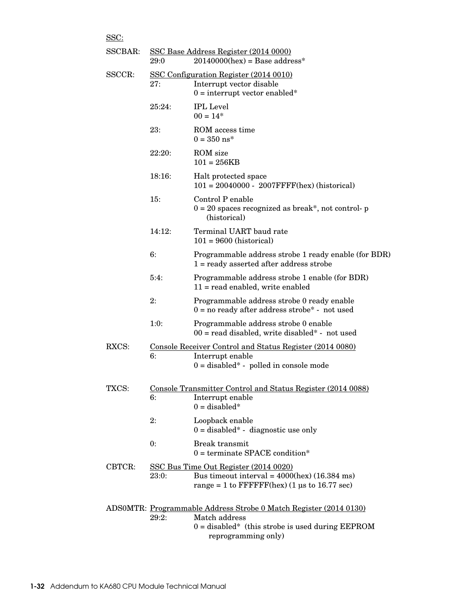| <u>טטט.</u> |        |                                                                                                                                                                 |
|-------------|--------|-----------------------------------------------------------------------------------------------------------------------------------------------------------------|
| SSCBAR:     | 29:0   | SSC Base Address Register (2014 0000)<br>$20140000$ (hex) = Base address*                                                                                       |
| SSCCR:      | 27:    | SSC Configuration Register (2014 0010)<br>Interrupt vector disable<br>$0 =$ interrupt vector enabled*                                                           |
|             | 25:24: | <b>IPL</b> Level<br>$00 = 14*$                                                                                                                                  |
|             | 23:    | ROM access time<br>$0 = 350$ ns*                                                                                                                                |
|             | 22:20: | ROM size<br>$101 = 256KB$                                                                                                                                       |
|             | 18:16: | Halt protected space<br>$101 = 20040000 - 2007$ FFFF(hex) (historical)                                                                                          |
|             | 15:    | Control P enable<br>$0 = 20$ spaces recognized as break*, not control- p<br>(historical)                                                                        |
|             | 14:12: | Terminal UART baud rate<br>$101 = 9600$ (historical)                                                                                                            |
|             | 6:     | Programmable address strobe 1 ready enable (for BDR)<br>$1 =$ ready asserted after address strobe                                                               |
|             | 5:4:   | Programmable address strobe 1 enable (for BDR)<br>$11 = read enabled, write enabled$                                                                            |
|             | 2:     | Programmable address strobe 0 ready enable<br>$0 = no$ ready after address strobe* - not used                                                                   |
|             | 1:0:   | Programmable address strobe 0 enable<br>$00 =$ read disabled, write disabled* - not used                                                                        |
| RXCS:       | 6:     | Console Receiver Control and Status Register (2014 0080)<br>Interrupt enable<br>$0 =$ disabled* - polled in console mode                                        |
| TXCS:       | 6:     | Console Transmitter Control and Status Register (2014 0088)<br>Interrupt enable<br>$0 =$ disabled*                                                              |
|             | 2:     | Loopback enable<br>$0 =$ disabled* - diagnostic use only                                                                                                        |
|             | 0:     | <b>Break transmit</b><br>$0 =$ terminate SPACE condition*                                                                                                       |
| CBTCR:      | 23:0:  | SSC Bus Time Out Register (2014 0020)<br>Bus timeout interval = $4000$ (hex) (16.384 ms)<br>range = 1 to $\text{FFFFFF}$ (hex) (1 µs to 16.77 sec)              |
|             | 29:2:  | ADSOMTR: Programmable Address Strobe 0 Match Register (2014 0130)<br>Match address<br>$0 =$ disabled* (this strobe is used during EEPROM<br>reprogramming only) |